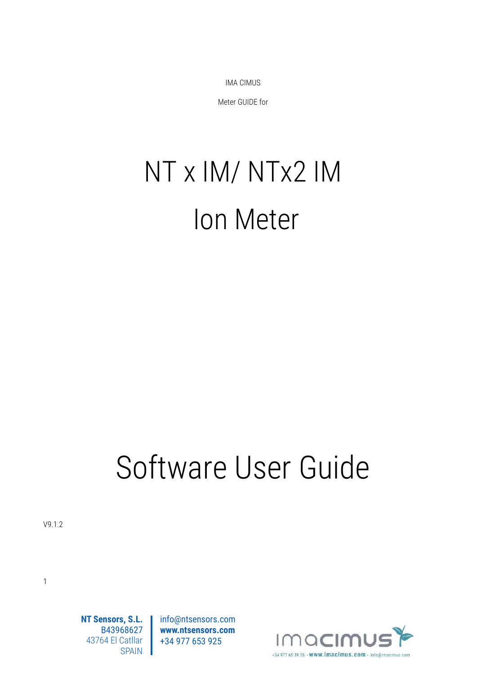IMA CIMUS

Meter GUIDE for

# NT x IM/ NTx2 IM Ion Meter

# Software User Guide

info@ntsensors.com **www.ntsensors.com** +34 977 653 925

V9.1.2



[1](#page-3-0)

**NT Sensors, S.L.** B43968627 43764 El Catllar SPAIN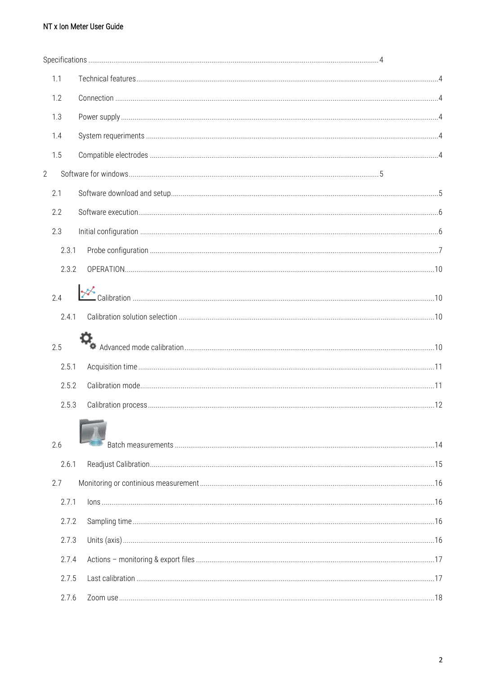| 1.1            |  |
|----------------|--|
| 1.2            |  |
| 1.3            |  |
| 1.4            |  |
| 1.5            |  |
| $\overline{2}$ |  |
| 2.1            |  |
| 2.2            |  |
| 2.3            |  |
| 2.3.1          |  |
| 2.3.2          |  |
| 2.4            |  |
|                |  |
| 2.4.1          |  |
| 2.5            |  |
| 2.5.1          |  |
| 2.5.2          |  |
| 2.5.3          |  |
|                |  |
| 2.6            |  |
| 2.6.1          |  |
| 2.7            |  |
| 2.7.1          |  |
| 2.7.2          |  |
| 2.7.3          |  |
| 2.7.4          |  |
| 2.7.5          |  |
| 2.7.6          |  |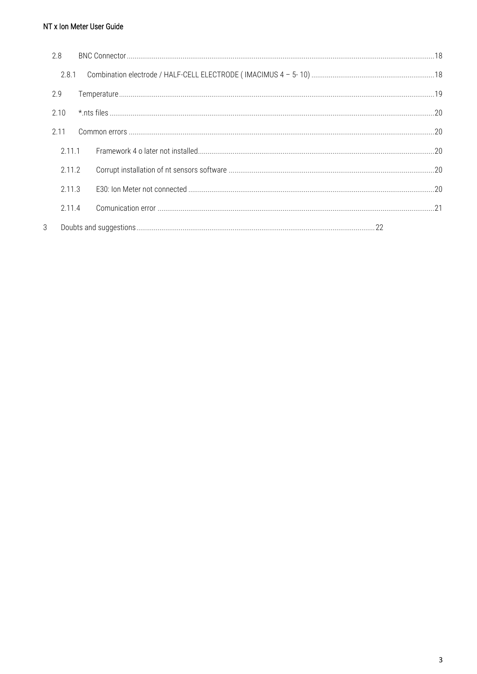|   | 2.8    |  |  |
|---|--------|--|--|
|   | 2.8.1  |  |  |
|   | 2.9    |  |  |
|   | 2.10   |  |  |
|   | 2.11   |  |  |
|   | 2.11.1 |  |  |
|   | 2.11.2 |  |  |
|   | 2.11.3 |  |  |
|   | 2.11.4 |  |  |
| 3 |        |  |  |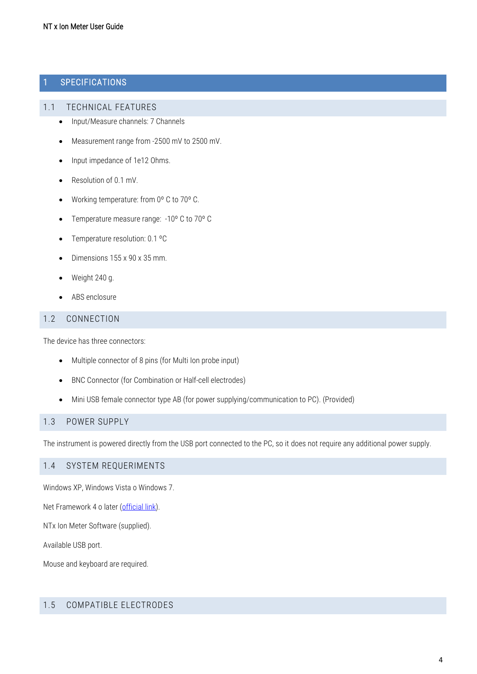#### <span id="page-3-0"></span>1 SPECIFICATIONS

#### <span id="page-3-1"></span>1.1 TECHNICAL FEATURES

- Input/Measure channels: 7 Channels
- Measurement range from -2500 mV to 2500 mV.
- Input impedance of 1e12 Ohms.
- Resolution of 0.1 mV.
- Working temperature: from 0º C to 70º C.
- Temperature measure range: -10° C to 70° C
- Temperature resolution: 0.1 °C
- Dimensions 155 x 90 x 35 mm.
- Weight 240 g.
- ABS enclosure

#### <span id="page-3-2"></span>1.2 CONNECTION

The device has three connectors:

- Multiple connector of 8 pins (for Multi Ion probe input)
- BNC Connector (for Combination or Half-cell electrodes)
- Mini USB female connector type AB (for power supplying/communication to PC). (Provided)

#### <span id="page-3-3"></span>1.3 POWER SUPPLY

The instrument is powered directly from the USB port connected to the PC, so it does not require any additional power supply.

#### <span id="page-3-4"></span>1.4 SYSTEM REQUERIMENTS

Windows XP, Windows Vista o Windows 7.

Net Framework 4 o later [\(official link\)](http://www.microsoft.com/download/en/details.aspx?id=17851).

NTx Ion Meter Software (supplied).

Available USB port.

Mouse and keyboard are required.

#### <span id="page-3-5"></span>1.5 COMPATIBLE ELECTRODES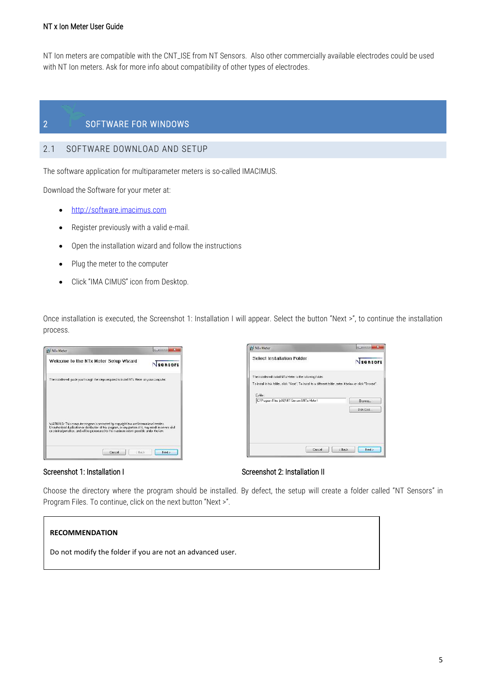NT Ion meters are compatible with the CNT\_ISE from NT Sensors. Also other commercially available electrodes could be used with NT Ion meters. Ask for more info about compatibility of other types of electrodes.

#### <span id="page-4-0"></span>2 SOFTWARE FOR WINDOWS

#### <span id="page-4-1"></span>2.1 SOFTWARE DOWNLOAD AND SETUP

The software application for multiparameter meters is so-called IMACIMUS.

Download the Software for your meter at:

- [http://software.imacimus.com](http://software.imacimus.com/)
- Register previously with a valid e-mail.
- Open the installation wizard and follow the instructions
- Plug the meter to the computer
- Click "IMA CIMUS" icon from Desktop.

Once installation is executed, the Screenshot 1: Installation I will appear. Select the button "Next >", to continue the installation process.

| NTx Meter                                                                                                                                                                                                                                                                                             |         |
|-------------------------------------------------------------------------------------------------------------------------------------------------------------------------------------------------------------------------------------------------------------------------------------------------------|---------|
| Welcome to the NTx Meter Setup Wizard                                                                                                                                                                                                                                                                 | sensors |
| The installer will guide you through the steps required to install NTx Meter on your computer.                                                                                                                                                                                                        |         |
| WARNING: This computer program is protected by copyright law and international treaties.<br>Unauthorized duplication or distribution of this program, or any pottion of it, may result in severe civil<br>or criminal penalties, and will be prosecuted to the maximum extent possible under the law. |         |
| Cancel<br>c'Back                                                                                                                                                                                                                                                                                      | Next >  |





Choose the directory where the program should be installed. By defect, the setup will create a folder called "NT Sensors" in Program Files. To continue, click on the next button "Next >".

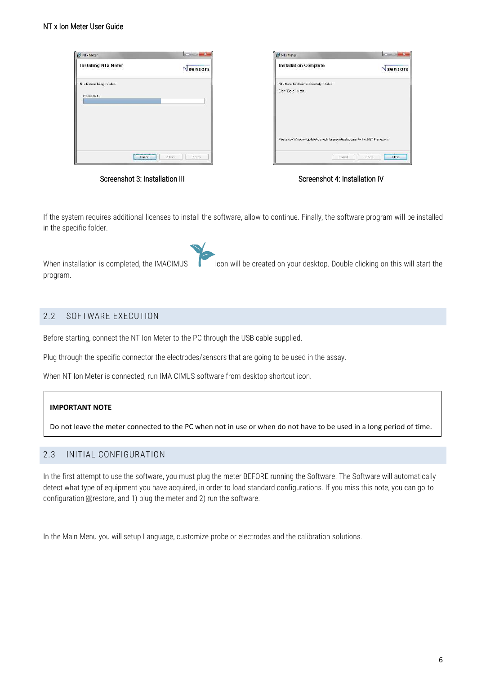| NTx Meter                                                   | 1000011  | NTx Meter                                                                          | $\mathbb{R}$<br>1000011 |
|-------------------------------------------------------------|----------|------------------------------------------------------------------------------------|-------------------------|
| Installing NTx Meter                                        | Nsensors | Installation Complete                                                              | Nsensors                |
| NTx Meter is being installed.<br>Please wak                 |          | NTx Meter has been successfully installed.<br>Click "Close" to exit.               |                         |
|                                                             |          | Please use Windows Update to sheek for any oritical updates to the INET Framework. |                         |
| <b>STEERS ENTERTAINER</b><br>$c$ Back<br>Cancer<br>-------- | Next>    | Cancel                                                                             | cBack.<br><b>Clase</b>  |

Screenshot 3: Installation III Screenshot 4: Installation IV

If the system requires additional licenses to install the software, allow to continue. Finally, the software program will be installed in the specific folder.

When installation is completed, the IMACIMUS icon will be created on your desktop. Double clicking on this will start the program.

#### <span id="page-5-0"></span>2.2 SOFTWARE EXECUTION

Before starting, connect the NT Ion Meter to the PC through the USB cable supplied.

Plug through the specific connector the electrodes/sensors that are going to be used in the assay.

When NT Ion Meter is connected, run IMA CIMUS software from desktop shortcut icon.

#### **IMPORTANT NOTE**

Do not leave the meter connected to the PC when not in use or when do not have to be used in a long period of time.

#### <span id="page-5-1"></span>2.3 INITIAL CONFIGURATION

In the first attempt to use the software, you must plug the meter BEFORE running the Software. The Software will automatically detect what type of equipment you have acquired, in order to load standard configurations. If you miss this note, you can go to configuration Mestore, and 1) plug the meter and 2) run the software.

In the Main Menu you will setup Language, customize probe or electrodes and the calibration solutions.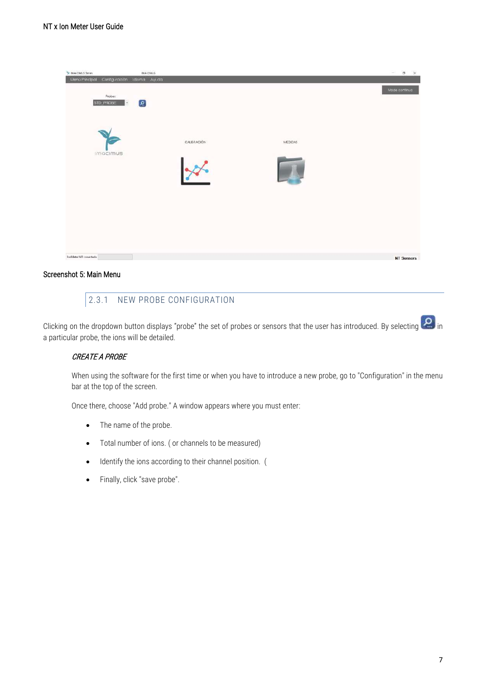| IMA CIMUS<br>Te MA CIMUS Series<br>Menu Principal<br>Configuración Idioma Ayuda |             |         | $ \Box$ $\times$  |
|---------------------------------------------------------------------------------|-------------|---------|-------------------|
| Probe:<br>$\left[ \mathbf{S}\right]$<br>STD_PROBE<br>$\bullet$                  |             |         | Mode continuo     |
|                                                                                 |             |         |                   |
|                                                                                 | CALIBRACIÓN | MEDIDAS |                   |
| <b>Imacimus</b>                                                                 |             |         |                   |
|                                                                                 |             |         |                   |
|                                                                                 |             |         |                   |
|                                                                                 |             |         |                   |
| IonMeter NO conectado                                                           |             |         | <b>NT Sensors</b> |

#### <span id="page-6-0"></span>Screenshot 5: Main Menu

#### 2.3.1 NEW PROBE CONFIGURATION

Clicking on the dropdown button displays "probe" the set of probes or sensors that the user has introduced. By selecting  $\boxed{\bullet}$  in a particular probe, the ions will be detailed.

#### CREATE A PROBE

When using the software for the first time or when you have to introduce a new probe, go to "Configuration" in the menu bar at the top of the screen.

Once there, choose "Add probe." A window appears where you must enter:

- The name of the probe.
- Total number of ions. ( or channels to be measured)
- Identify the ions according to their channel position. (
- Finally, click "save probe".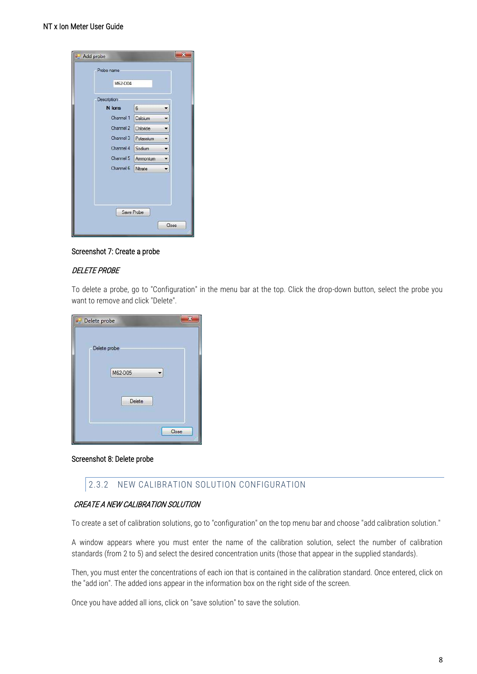| Probe name  |                |   |
|-------------|----------------|---|
| M62-D04     |                |   |
| Description |                |   |
| N lons      | 6              |   |
| Channel 1   | Calcium        |   |
| Channel 2   | Chloride       |   |
| Channel 3   | Potassium      | ▼ |
| Channel 4   | Sodium         | ▼ |
| Channel 5   | Ammonium       | ۰ |
| Channel 6   | <b>Nitrate</b> |   |
|             |                |   |

Screenshot 7: Create a probe

#### DELETE PROBE

To delete a probe, go to "Configuration" in the menu bar at the top. Click the drop-down button, select the probe you want to remove and click "Delete".

| Delete probe |              |       |
|--------------|--------------|-------|
|              | Delete probe |       |
|              | M62-D05      |       |
|              | Delete       |       |
|              |              |       |
|              |              | Close |

#### Screenshot 8: Delete probe

#### 2.3.2 NEW CALIBRATION SOLUTION CONFIGURATION

#### CREATE A NEW CALIBRATION SOLUTION

To create a set of calibration solutions, go to "configuration" on the top menu bar and choose "add calibration solution."

A window appears where you must enter the name of the calibration solution, select the number of calibration standards (from 2 to 5) and select the desired concentration units (those that appear in the supplied standards).

Then, you must enter the concentrations of each ion that is contained in the calibration standard. Once entered, click on the "add ion". The added ions appear in the information box on the right side of the screen.

Once you have added all ions, click on "save solution" to save the solution.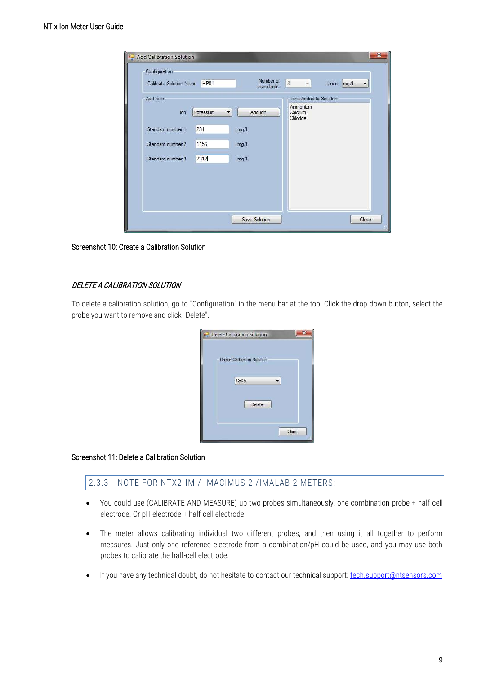| ▼<br>standards<br>Ions Added to Solution<br>Ammonium<br>Add Ion<br>Calcium<br>Potassium<br>lon<br>$\overline{\phantom{a}}$<br>Chloride<br>231<br>Standard number 1<br>mg/L<br>Standard number 2<br>1156<br>mg/L<br>2312<br>Standard number 3<br>mg/L | Calibrate Solution Name | HP01 | Number of | $\overline{3}$<br>Units<br>mg/L |
|------------------------------------------------------------------------------------------------------------------------------------------------------------------------------------------------------------------------------------------------------|-------------------------|------|-----------|---------------------------------|
|                                                                                                                                                                                                                                                      |                         |      |           |                                 |
|                                                                                                                                                                                                                                                      | Add lons                |      |           |                                 |
|                                                                                                                                                                                                                                                      |                         |      |           |                                 |
|                                                                                                                                                                                                                                                      |                         |      |           |                                 |
|                                                                                                                                                                                                                                                      |                         |      |           |                                 |
|                                                                                                                                                                                                                                                      |                         |      |           |                                 |
|                                                                                                                                                                                                                                                      |                         |      |           |                                 |
|                                                                                                                                                                                                                                                      |                         |      |           |                                 |
|                                                                                                                                                                                                                                                      |                         |      |           |                                 |

Screenshot 10: Create a Calibration Solution

#### DELETE A CALIBRATION SOLUTION

To delete a calibration solution, go to "Configuration" in the menu bar at the top. Click the drop-down button, select the probe you want to remove and click "Delete".

| Delete Calibration Solution |  |
|-----------------------------|--|
| Delete Calibration Solution |  |
| Sol <sub>2p</sub>           |  |
| Delete                      |  |
| Close                       |  |

#### Screenshot 11: Delete a Calibration Solution

#### 2.3.3 NOTE FOR NTX2-IM / IMACIMUS 2 /IMALAB 2 METERS:

- You could use (CALIBRATE AND MEASURE) up two probes simultaneously, one combination probe + half-cell electrode. Or pH electrode + half-cell electrode.
- The meter allows calibrating individual two different probes, and then using it all together to perform measures. Just only one reference electrode from a combination/pH could be used, and you may use both probes to calibrate the half-cell electrode.
- If you have any technical doubt, do not hesitate to contact our technical support: [tech.support@ntsensors.com](mailto:tech.support@ntsensors.com)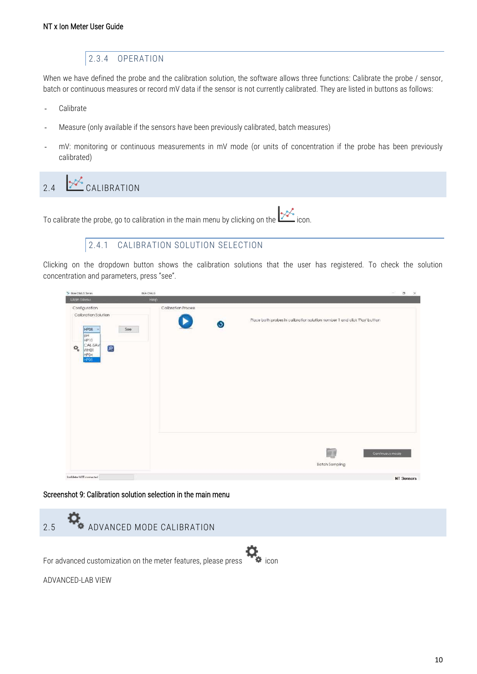#### 2.3.4 OPERATION

<span id="page-9-0"></span>When we have defined the probe and the calibration solution, the software allows three functions: Calibrate the probe / sensor, batch or continuous measures or record mV data if the sensor is not currently calibrated. They are listed in buttons as follows:

- Calibrate
- Measure (only available if the sensors have been previously calibrated, batch measures)
- mV: monitoring or continuous measurements in mV mode (or units of concentration if the probe has been previously calibrated)

# <span id="page-9-1"></span>2.4  $\frac{1}{2}$  CALIBRATION

To calibrate the probe, go to calibration in the main menu by clicking on the  $\mathcal{L}$  icon.

#### 2.4.1 CALIBRATION SOLUTION SELECTION

<span id="page-9-2"></span>Clicking on the dropdown button shows the calibration solutions that the user has registered. To check the solution concentration and parameters, press "see".

| MA CIMUS Series                                                                                                                                         | IMA CIMUS           |           |                                                                            | $\Box$ $\times$<br>$\sim$ |  |
|---------------------------------------------------------------------------------------------------------------------------------------------------------|---------------------|-----------|----------------------------------------------------------------------------|---------------------------|--|
| Main Menu                                                                                                                                               | Help                |           |                                                                            |                           |  |
| Configuration<br>Calibration Solution<br>HP08<br>See<br>- 6<br>Hq<br>HP10<br>CAL-SAV<br>$\left[ \rho \right]$<br>$\Phi_{\rm o}$<br>WHO1<br>HPO4<br>HPO8 | Calibration Process | $\bullet$ | Place both probes in calibration solution number 1 and click 'Play' button |                           |  |
|                                                                                                                                                         |                     |           | $\overline{\mathbb{R}^N}$<br><b>Batch Sampling</b>                         | Continuous mode           |  |
| lonMeter NOT connected                                                                                                                                  |                     |           |                                                                            | <b>NT Sensors</b>         |  |

#### Screenshot 9: Calibration solution selection in the main menu

<span id="page-9-3"></span>

| 2.5 | ADVANCED MODE CALIBRATION                                              |
|-----|------------------------------------------------------------------------|
|     | For advanced customization on the meter features, please press in icon |
|     | ADVANCED-LAB VIEW                                                      |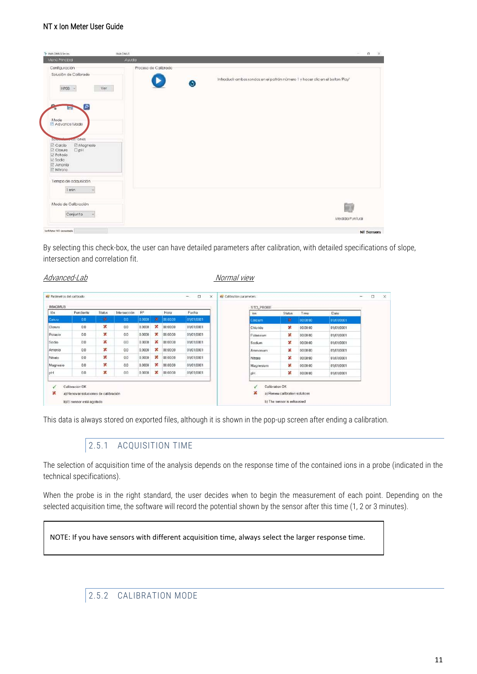| Mon0 Principal                                                                                                              | Awata                     |                                                                              |
|-----------------------------------------------------------------------------------------------------------------------------|---------------------------|------------------------------------------------------------------------------|
| Configuración<br>Solución de Calibrado<br>$HP08 -$<br>Ver                                                                   | Proceso de Calibrado<br>G | Introducir ambas sondas en el patrón número 1 y hacer clic en el boton Piay' |
| $\sigma$<br><b>Dental</b><br>Mode<br>Advance Mode<br><b>Exits lones</b><br>Ma <sub>tern</sub>                               |                           |                                                                              |
| El Calclo<br>E Magnesio<br>$\square$ pH<br><b>E</b> Cloruro<br><b>E</b> Potasio<br>E Sodio<br>El Amonio<br><b>E</b> Nitrato |                           |                                                                              |
| Tiempo de adquisición<br>1 min                                                                                              |                           |                                                                              |
| Modo de Calibración                                                                                                         |                           | <b>Silver</b><br>$\rightarrow$                                               |

By selecting this check-box, the user can have detailed parameters after calibration, with detailed specifications of slope, intersection and correlation fit.

#### Advanced-Lab Normal view

| <b>IMACIMUS</b> |           |               |              |        |   |          |            | STD_PROBE |               |          |            |
|-----------------|-----------|---------------|--------------|--------|---|----------|------------|-----------|---------------|----------|------------|
| 16n             | Pendiente | <b>Status</b> | Intersección | $R^2$  |   | Hora     | Fecha      | lon       | <b>Status</b> | Time     | Date       |
| Calcio          | 00        | ×             | 0.0          | 0.0000 | × | 00:00:00 | 01/01/0001 | Calcam    | ×             | 00:00:00 | 01/01/0001 |
| Cloniro         | 0.0       | ×             | 0.0          | 0.0000 | × | 00:00:00 | 01/01/0001 | Chloride  | ×             | 00.00.00 | 01/01/0001 |
| Potasio         | 0.0       | ×             | 0.0          | 0.0000 | × | 00:00:00 | 01/01/0001 | Potassium | ×             | 00:00:00 | 01/01/0001 |
| Sodio           | 0.0       | ×             | 0.0          | 0.0000 | × | 00:00:00 | 01/01/0001 | Sodium    | ×             | 00:00:00 | 01/01/0001 |
| Amonio          | 0.0       | ×             | 0.0          | 0.0000 | x | 00:00:00 | 01/01/0001 | Ammonium  | ×             | 00:00:00 | 01/01/0001 |
| Nitrato         | 0.0       | ×             | 0.0          | 0.0000 | × | 00:00:00 | 01/01/0001 | Nitrate   | ×             | 00:00:00 | 01/01/0001 |
| Magnesio        | 0.0       | ×             | 0.0          | 0.0000 | × | 00.00.00 | 01/01/0001 | Magnesium | ×             | 00:00:00 | 01/01/0001 |
| pH              | 0.0       | ×             | 0.0          | 0.0000 | × | 00:00:00 | 01/01/0001 | pH        | ×             | 00:00:00 | 01/01/0001 |

<span id="page-10-0"></span>This data is always stored on exported files, although it is shown in the pop-up screen after ending a calibration.

### 2.5.1 ACQUISITION TIME

The selection of acquisition time of the analysis depends on the response time of the contained ions in a probe (indicated in the technical specifications).

When the probe is in the right standard, the user decides when to begin the measurement of each point. Depending on the selected acquisition time, the software will record the potential shown by the sensor after this time (1, 2 or 3 minutes).

NOTE: If you have sensors with different acquisition time, always select the larger response time.

<span id="page-10-1"></span>2.5.2 CALIBRATION MODE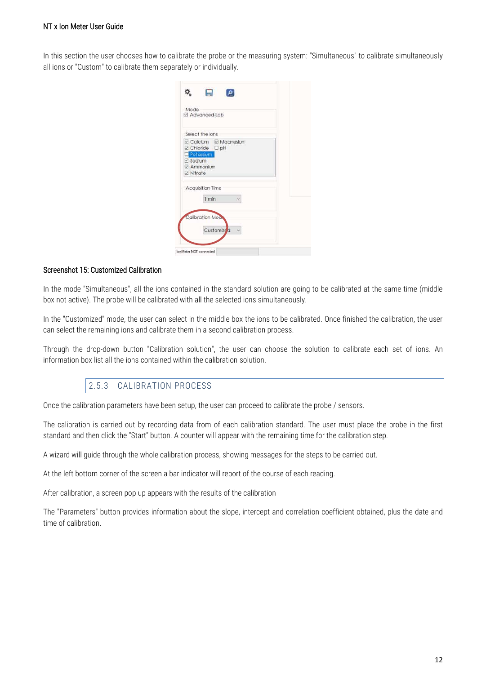In this section the user chooses how to calibrate the probe or the measuring system: "Simultaneous" to calibrate simultaneously all ions or "Custom" to calibrate them separately or individually.

| Mode | ☑ Advanced-Lab                                                                                           |  |
|------|----------------------------------------------------------------------------------------------------------|--|
|      | Select the ions                                                                                          |  |
|      | <b>El Calcium El Magnesiun</b><br>⊠ Chloride □ pH<br><b>Potassium</b><br>Sodium<br>Ammonium<br>⊠ Nitrate |  |
|      | Acquisition Time<br>1 min                                                                                |  |
|      | Calibration Moo.                                                                                         |  |

#### Screenshot 15: Customized Calibration

In the mode "Simultaneous", all the ions contained in the standard solution are going to be calibrated at the same time (middle box not active). The probe will be calibrated with all the selected ions simultaneously.

In the "Customized" mode, the user can select in the middle box the ions to be calibrated. Once finished the calibration, the user can select the remaining ions and calibrate them in a second calibration process.

Through the drop-down button "Calibration solution", the user can choose the solution to calibrate each set of ions. An information box list all the ions contained within the calibration solution.

#### 2.5.3 CALIBRATION PROCESS

<span id="page-11-0"></span>Once the calibration parameters have been setup, the user can proceed to calibrate the probe / sensors.

The calibration is carried out by recording data from of each calibration standard. The user must place the probe in the first standard and then click the "Start" button. A counter will appear with the remaining time for the calibration step.

A wizard will guide through the whole calibration process, showing messages for the steps to be carried out.

At the left bottom corner of the screen a bar indicator will report of the course of each reading.

After calibration, a screen pop up appears with the results of the calibration

The "Parameters" button provides information about the slope, intercept and correlation coefficient obtained, plus the date and time of calibration.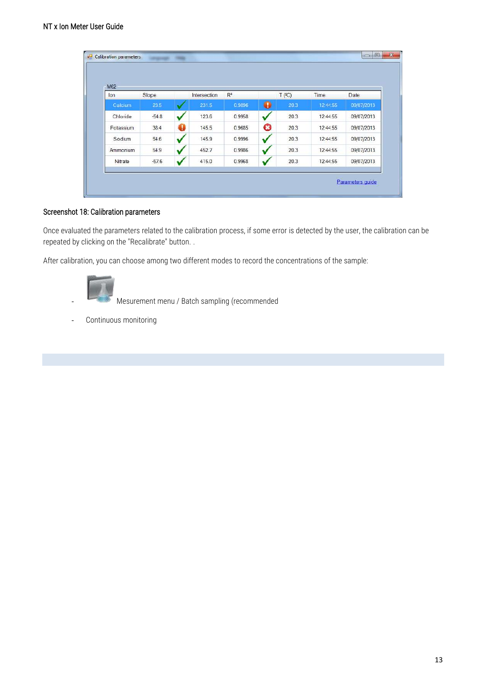| M62       |         |   |              |        |   |                     |          |            |
|-----------|---------|---|--------------|--------|---|---------------------|----------|------------|
| lon       | Slope   |   | Intersection | $R^2$  |   | $T$ ( $^{\circ}$ C) | Time     | Date       |
| Calcium   | 23.5    |   | 231.5        | 0.9896 | ۰ | 20.3                | 12.44.55 | 09/07/2013 |
| Chloride  | $-54.8$ |   | 123.6        | 0.9958 |   | 20.3                | 12:44:55 | 09/07/2013 |
| Potassium | 38.4    | 0 | 145.5        | 0.9685 | O | 20.3                | 12:44:55 | 09/07/2013 |
| Sodium    | 54.6    |   | 145.9        | 0.9996 |   | 20.3                | 12:44:55 | 09/07/2013 |
| Ammonium  | 54.9    |   | 452.7        | 0.9986 |   | 20.3                | 12:44:55 | 09/07/2013 |
| Nitrate   | $-57.6$ |   | 415.0        | 0.9968 |   | 20.3                | 12:44:55 | 09/07/2013 |

#### Screenshot 18: Calibration parameters

Once evaluated the parameters related to the calibration process, if some error is detected by the user, the calibration can be repeated by clicking on the "Recalibrate" button. .

After calibration, you can choose among two different modes to record the concentrations of the sample:



- Mesurement menu / Batch sampling (recommended

- Continuous monitoring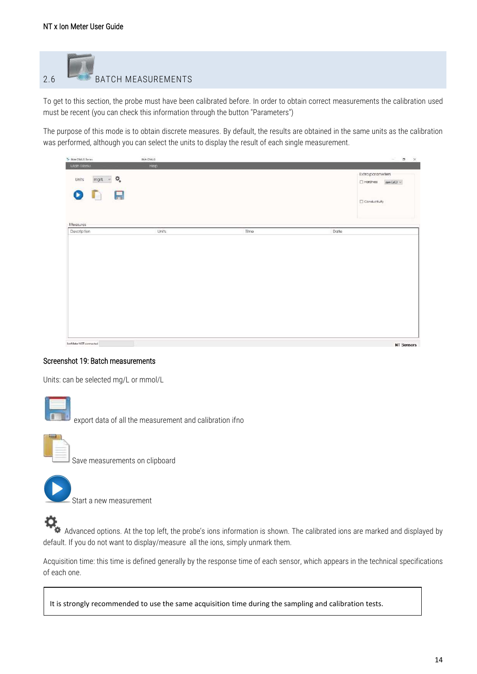<span id="page-13-0"></span>

To get to this section, the probe must have been calibrated before. In order to obtain correct measurements the calibration used must be recent (you can check this information through the button "Parameters")

The purpose of this mode is to obtain discrete measures. By default, the results are obtained in the same units as the calibration was performed, although you can select the units to display the result of each single measurement.

| Te MA CIMUS Series                   | IMA CIMUS |      | $\qquad \qquad \blacksquare \qquad \times$<br>$\sim$ |
|--------------------------------------|-----------|------|------------------------------------------------------|
| Main Menu                            | Heip      |      |                                                      |
| $mg/L = \frac{m}{2}$<br>Units<br>ODE |           |      | Extra parameters<br>$\Box$ Hordness ppn CaCO $\lor$  |
| Measures                             |           |      | Conductivity                                         |
| Description                          | Units     | Time | Date                                                 |
|                                      |           |      |                                                      |
|                                      |           |      |                                                      |
|                                      |           |      |                                                      |
|                                      |           |      |                                                      |

#### Screenshot 19: Batch measurements

Units: can be selected mg/L or mmol/L



export data of all the measurement and calibration ifno



Save measurements on clipboard



Start a new measurement



Advanced options. At the top left, the probe's ions information is shown. The calibrated ions are marked and displayed by default. If you do not want to display/measure all the ions, simply unmark them.

Acquisition time: this time is defined generally by the response time of each sensor, which appears in the technical specifications of each one.

It is strongly recommended to use the same acquisition time during the sampling and calibration tests.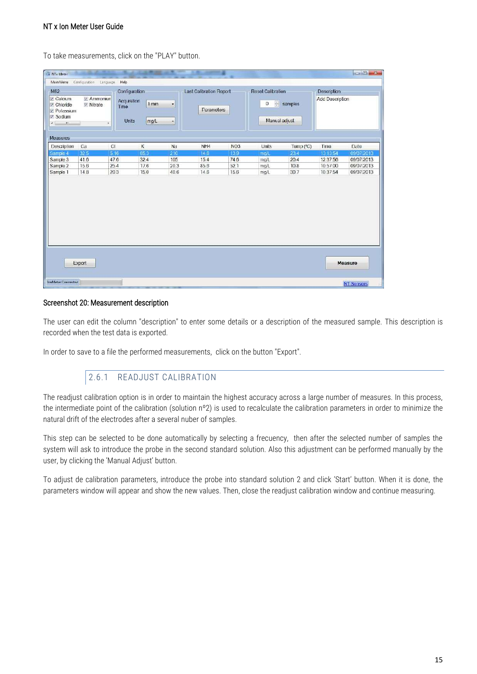To take measurements, click on the "PLAY" button.

|                                                                                             | Configuration Language       | Help                                     |               |                                                  |                                |      |                                |           |                 |            |
|---------------------------------------------------------------------------------------------|------------------------------|------------------------------------------|---------------|--------------------------------------------------|--------------------------------|------|--------------------------------|-----------|-----------------|------------|
| M62                                                                                         |                              | Configuration                            |               |                                                  | <b>Last Calibration Report</b> |      | <b>Reset Calibration</b>       |           |                 |            |
| <b>V</b> Calcium<br><b>V</b> Chloride<br><b>Potassium</b><br><b>V</b> Sodium<br>$+1$<br>-BU | Ammoniun<br><b>■</b> Nitrate | Acquisition<br>Time<br><b>Units</b><br>٠ | 1 min<br>mg/L | $\overline{\phantom{a}}$<br>$\ddot{\phantom{0}}$ | Parameters                     |      | 森<br>$\circ$<br>Manual adjust: | samples   | Add Description |            |
| Measures                                                                                    |                              |                                          |               |                                                  |                                |      |                                |           |                 |            |
| Description                                                                                 | Ca                           | Cl                                       | κ             | Na                                               | NH <sub>4</sub>                | NO3  | Units                          | Temp (°C) | Time            | Date       |
| Sample 4                                                                                    | 32.5                         | 5.16                                     | 65.3          | 210                                              | 14.6                           | 13.9 | mail                           | 23.4      | 13:13:54        | 09/07/2013 |
| Sample 3                                                                                    | 41.6                         | 47.6                                     | 32.4          | 105                                              | 15.4                           | 74 6 | ma/L                           | 20.4      | 12:37:56        | 09/07/2013 |
| Sample 2                                                                                    | 15.6                         | 25.4                                     | 17.6          | 20.3                                             | 856                            | 52.1 | mg/L                           | 10.8      | 10:57:00        | 09/07/2013 |
|                                                                                             |                              |                                          |               |                                                  |                                |      |                                |           |                 |            |
| Sample 1                                                                                    | 14.8                         | 20.3                                     | 15.0          | 40.6                                             | 14.6                           | 15.6 | mg/L                           | 30.7      | 10:37:54        |            |
|                                                                                             |                              |                                          |               |                                                  |                                |      |                                |           |                 | 09/07/2013 |

#### Screenshot 20: Measurement description

The user can edit the column "description" to enter some details or a description of the measured sample. This description is recorded when the test data is exported.

<span id="page-14-0"></span>In order to save to a file the performed measurements, click on the button "Export".

#### 2.6.1 READJUST CALIBRATION

The readjust calibration option is in order to maintain the highest accuracy across a large number of measures. In this process, the intermediate point of the calibration (solution nº2) is used to recalculate the calibration parameters in order to minimize the natural drift of the electrodes after a several nuber of samples.

This step can be selected to be done automatically by selecting a frecuency, then after the selected number of samples the system will ask to introduce the probe in the second standard solution. Also this adjustment can be performed manually by the user, by clicking the 'Manual Adjust' button.

To adjust de calibration parameters, introduce the probe into standard solution 2 and click 'Start' button. When it is done, the parameters window will appear and show the new values. Then, close the readjust calibration window and continue measuring.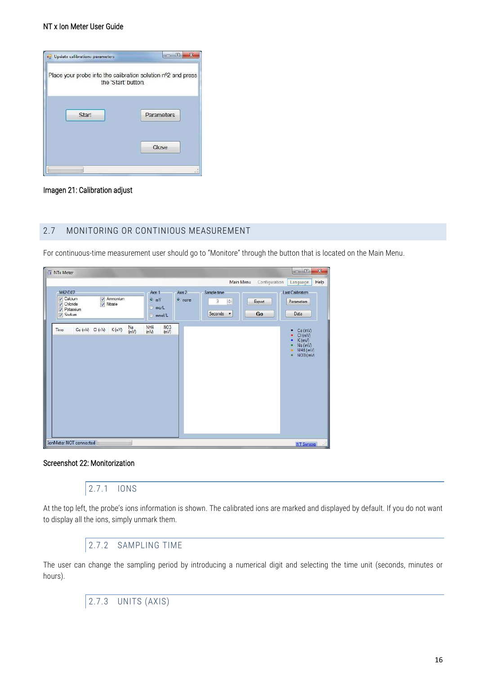

#### Imagen 21: Calibration adjust

#### <span id="page-15-0"></span>2.7 MONITORING OR CONTINIOUS MEASUREMENT

For continuous-time measurement user should go to "Monitore" through the button that is located on the Main Menu.

| <b>X</b> NTx Meter                                                                                                 |                                                    |                                                      | x<br>$= 5$                                                        |
|--------------------------------------------------------------------------------------------------------------------|----------------------------------------------------|------------------------------------------------------|-------------------------------------------------------------------|
|                                                                                                                    |                                                    | Main Menu<br>Configuration                           | Help<br>Language                                                  |
| M62-D07                                                                                                            | Axis 1                                             | Axis 2<br>Sample time                                | <b>Last Calibration</b>                                           |
| <b>V</b> Calcium<br>Ammonium<br>$\sqrt{\phantom{a}}$ Nitrate<br>$\sqrt{}$ Chicride<br><b>7</b> Potassium<br>Sodium | $Q$ <sub>m</sub> $V$<br>a mo/L<br>mmol/L           | o none<br>÷<br>3<br>Export<br>Seconds <b>*</b><br>Go | Parameters<br>Data                                                |
| Na<br>Ca (mV) C (mV) K (mV)<br>Time<br>(mV)                                                                        | NO <sub>3</sub><br>NH <sub>4</sub><br>(mV)<br>(mV) |                                                      | Ca (mV)<br>٠<br>Cl(mV)<br>K(mV)<br>Na (mV)<br>NH4 (mV)<br>NO3(mV) |
| IonMeter NOT connected                                                                                             |                                                    |                                                      | NT Sensore<br>$-311$                                              |

#### <span id="page-15-1"></span>Screenshot 22: Monitorization

#### 2.7.1 IONS

At the top left, the probe's ions information is shown. The calibrated ions are marked and displayed by default. If you do not want to display all the ions, simply unmark them.

2.7.2 SAMPLING TIME

<span id="page-15-3"></span><span id="page-15-2"></span>The user can change the sampling period by introducing a numerical digit and selecting the time unit (seconds, minutes or hours).

2.7.3 UNITS (AXIS)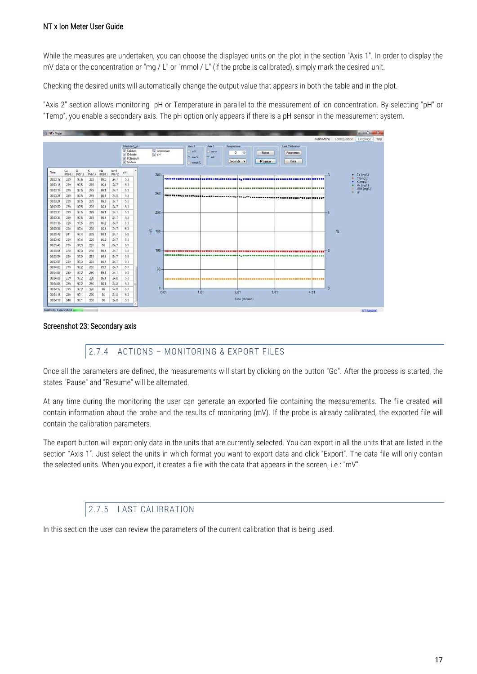While the measures are undertaken, you can choose the displayed units on the plot in the section "Axis 1". In order to display the mV data or the concentration or "mg / L" or "mmol / L" (if the probe is calibrated), simply mark the desired unit.

Checking the desired units will automatically change the output value that appears in both the table and in the plot.

"Axis 2" section allows monitoring pH or Temperature in parallel to the measurement of ion concentration. By selecting "pH" or "Temp", you enable a secondary axis. The pH option only appears if there is a pH sensor in the measurement system.



#### <span id="page-16-0"></span>Screenshot 23: Secondary axis

#### 2.7.4 ACTIONS – MONITORING & EXPORT FILES

Once all the parameters are defined, the measurements will start by clicking on the button "Go". After the process is started, the states "Pause" and "Resume" will be alternated.

At any time during the monitoring the user can generate an exported file containing the measurements. The file created will contain information about the probe and the results of monitoring (mV). If the probe is already calibrated, the exported file will contain the calibration parameters.

The export button will export only data in the units that are currently selected. You can export in all the units that are listed in the section "Axis 1". Just select the units in which format you want to export data and click "Export". The data file will only contain the selected units. When you export, it creates a file with the data that appears in the screen, i.e.: "mV".

#### 2.7.5 LAST CALIBRATION

<span id="page-16-1"></span>In this section the user can review the parameters of the current calibration that is being used.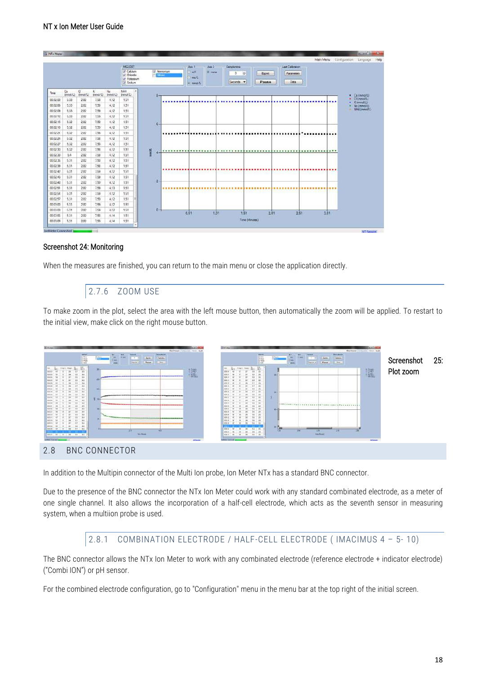|          |                            |               |               |                | M62-D07<br>V Calcium<br>V Chloride<br>VI Potassum<br>J Sodium |           | Attmorium<br><b><i><u>Statistics</u></i></b> |           | Axis 1<br>$-1$<br>ma/L<br>a mmd/L | Axis 2<br>a none |      | Sample time<br>з<br>Seconds <b>v</b> | $\frac{1}{2}$  | Export<br>Pause |      | Last Calibration<br><b>Parameters</b><br>Data |      |                              |
|----------|----------------------------|---------------|---------------|----------------|---------------------------------------------------------------|-----------|----------------------------------------------|-----------|-----------------------------------|------------------|------|--------------------------------------|----------------|-----------------|------|-----------------------------------------------|------|------------------------------|
| Time     | $\mathbb{C}^n$<br>(mmol/L) | a<br>(mmol/L) | ĸ<br>(mmol/L) | Na<br>(mmol/L) | NH4<br>(mmol/L)                                               |           | 8                                            |           |                                   |                  |      |                                      |                |                 |      |                                               |      | $\bullet$ Ca (mmol/L)        |
| 00.02.03 | 5.33                       | 282           | 7.58          | 4.12           | 1.51                                                          |           |                                              |           |                                   |                  |      |                                      |                |                 |      |                                               |      | · Cl (mmol/L)<br>· K(mmol/L) |
| 00:02:06 | 5.33                       | 2.82          | 7,58          | 4,12           | 1.51                                                          |           |                                              |           |                                   |                  |      |                                      |                |                 |      |                                               |      | Na (mmol/L)<br>NH4 (mmol/L)  |
| 00:02:09 | 5.33                       | 2.82          | 7.59          | 4.12           | 1.51                                                          |           |                                              |           |                                   |                  |      |                                      |                |                 |      |                                               |      |                              |
| 00.02.12 | 5.33                       | 2.82          | 7,58          | 4.12           | 1.51                                                          |           |                                              |           |                                   |                  |      |                                      |                |                 |      |                                               |      |                              |
| 00:02:15 | 5.32                       | 2.82          | 7.59          | 4.12           | 151                                                           |           | $6-$                                         |           |                                   |                  |      |                                      |                |                 |      |                                               |      |                              |
| 00:02:18 | 5.32                       | 2.82          | 7.55          | 4,12           | 1.51                                                          |           |                                              |           |                                   |                  |      |                                      |                |                 |      |                                               |      |                              |
| 00:02:21 | 5.32                       | 2.82          | 758           | 4,12           | 1.51                                                          |           |                                              |           |                                   |                  |      |                                      |                |                 |      |                                               | <br> |                              |
| 00:02:24 | 5.32                       | 2.82          | 7.58          | 4.12           | 1.51                                                          |           |                                              |           |                                   |                  |      |                                      |                |                 |      |                                               |      |                              |
| 00:02:27 | 5.32                       | 2.82          | 7,58          | 4,12           | 1,51                                                          |           |                                              |           |                                   |                  |      |                                      |                |                 |      |                                               |      |                              |
| 00:02:30 | 5.32                       | 2.82          | 7,58          | 4.12           | 1.51                                                          |           |                                              | ********* |                                   |                  |      |                                      |                |                 |      |                                               |      |                              |
| 00:02:33 | \$4                        | 2.82          | 7.58          | 4,12           | 1.51                                                          | $\rm mmM$ |                                              |           |                                   |                  |      |                                      |                |                 |      |                                               |      |                              |
| 00:02:36 | 531                        | 2.82          | 7.58          | 4.12           | 1.51                                                          |           |                                              |           |                                   |                  |      |                                      |                |                 |      |                                               |      |                              |
| 00:02:39 | 5.31                       | 2.82          | 7.58          | 4.12           | 1.51                                                          |           |                                              |           |                                   |                  |      |                                      |                |                 |      |                                               |      |                              |
| 00:02:42 | 5.31                       | 2.82          | 7,59          | 4,12           | 1.51                                                          |           |                                              |           |                                   |                  |      |                                      |                |                 |      |                                               |      |                              |
| 00:02:45 | 5.31                       | 2.82          | 7.59          | 4.12           | 1.51                                                          |           |                                              |           |                                   |                  |      |                                      |                |                 |      |                                               |      |                              |
| 00:02:48 | 5.31                       | 2.82          | 7,59          | 4,12           | 1.51                                                          |           | $\overline{2}$                               |           |                                   |                  |      |                                      |                |                 |      |                                               |      |                              |
| 00:02:51 | 5,31                       | 2.82          | 7.59          | 4,13           | 1.51                                                          |           |                                              |           |                                   |                  |      |                                      |                |                 |      |                                               | .    |                              |
| 00.02.54 | 5.31                       | 2.82          | 7.59          | 4.12           | 1.51                                                          |           |                                              |           |                                   |                  |      |                                      |                |                 |      |                                               |      |                              |
| 00:02:57 | 5.31                       | 2.82          | 7.59          | 4,12           | 1.51                                                          |           |                                              |           |                                   |                  |      |                                      |                |                 |      |                                               |      |                              |
| 00:03:00 | 531                        | 2.82          | 7.59          | 4.12           | 1.51                                                          |           |                                              |           |                                   |                  |      |                                      |                |                 |      |                                               |      |                              |
| 00:03:03 | 531                        | 2.82          | 7.59          | 4,12           | 1.51                                                          |           | $-0 -$                                       |           | 0.51                              |                  | 1.01 |                                      | 1.51           |                 | 2.01 | 2.51                                          | 3.01 |                              |
| 00:03:06 | 5.31                       | 2.82          | 7.58          | 4.14           | 1.51                                                          |           |                                              |           |                                   |                  |      |                                      | Time (Minutes) |                 |      |                                               |      |                              |

#### Screenshot 24: Monitoring

<span id="page-17-0"></span>When the measures are finished, you can return to the main menu or close the application directly.

#### 2.7.6 ZOOM USE

To make zoom in the plot, select the area with the left mouse button, then automatically the zoom will be applied. To restart to the initial view, make click on the right mouse button.



<span id="page-17-1"></span>In addition to the Multipin connector of the Multi Ion probe, Ion Meter NTx has a standard BNC connector.

Due to the presence of the BNC connector the NTx Ion Meter could work with any standard combinated electrode, as a meter of one single channel. It also allows the incorporation of a half-cell electrode, which acts as the seventh sensor in measuring system, when a multiion probe is used.

#### 2.8.1 COMBINATION ELECTRODE / HALF-CELL ELECTRODE ( IMACIMUS 4 – 5- 10)

<span id="page-17-2"></span>The BNC connector allows the NTx Ion Meter to work with any combinated electrode (reference electrode + indicator electrode) ("Combi ION") or pH sensor.

For the combined electrode configuration, go to "Configuration" menu in the menu bar at the top right of the initial screen.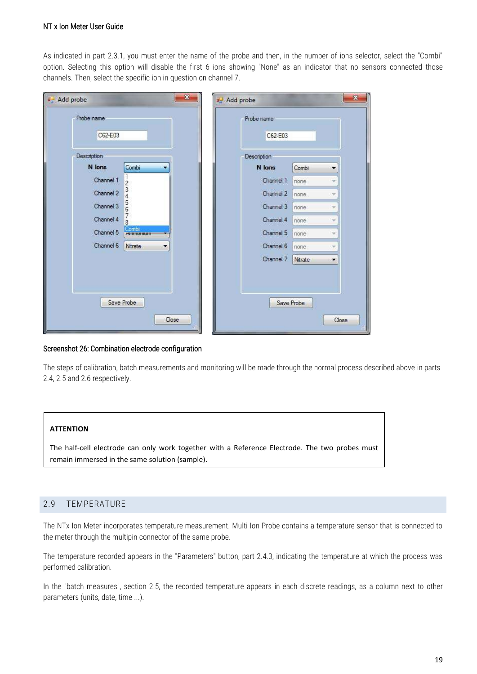As indicated in part 2.3.1, you must enter the name of the probe and then, in the number of ions selector, select the "Combi" option. Selecting this option will disable the first 6 ions showing "None" as an indicator that no sensors connected those channels. Then, select the specific ion in question on channel 7.

| a <sup>1</sup> Add probe    | $\mathbf{x}$       | all Add probe | ×                               |
|-----------------------------|--------------------|---------------|---------------------------------|
| Probe name                  |                    | Probe name    |                                 |
| C62-E03                     |                    | C62-E03       |                                 |
| Description                 |                    | Description   |                                 |
| N lons                      | Combi<br>▼         | N lons        | Combi<br>۰                      |
| Channel 1<br>$\overline{2}$ |                    | Channel 1     | none<br>w                       |
| $\frac{3}{4}$<br>Channel 2  |                    | Channel 2     | none                            |
| 56<br>Channel 3             |                    | Channel 3     | none                            |
| 7<br>Channel 4<br>8         |                    | Channel 4     | none                            |
| Channel 5                   | Combi<br>Animonium | Channel 5     | none<br>v                       |
| Channel 6                   | Nitrate<br>▼       | Channel 6     | none:<br>y                      |
|                             |                    | Channel 7     | Nitrate<br>$\blacktriangledown$ |
| Save Probe                  | Close              |               | Save Probe<br>Close             |

#### Screenshot 26: Combination electrode configuration

The steps of calibration, batch measurements and monitoring will be made through the normal process described above in parts 2.4, 2.5 and 2.6 respectively.

#### **ATTENTION**

The half-cell electrode can only work together with a Reference Electrode. The two probes must remain immersed in the same solution (sample).

#### <span id="page-18-0"></span>2.9 TEMPERATURE

The NTx Ion Meter incorporates temperature measurement. Multi Ion Probe contains a temperature sensor that is connected to the meter through the multipin connector of the same probe.

The temperature recorded appears in the "Parameters" button, part 2.4.3, indicating the temperature at which the process was performed calibration.

In the "batch measures", section 2.5, the recorded temperature appears in each discrete readings, as a column next to other parameters (units, date, time ...).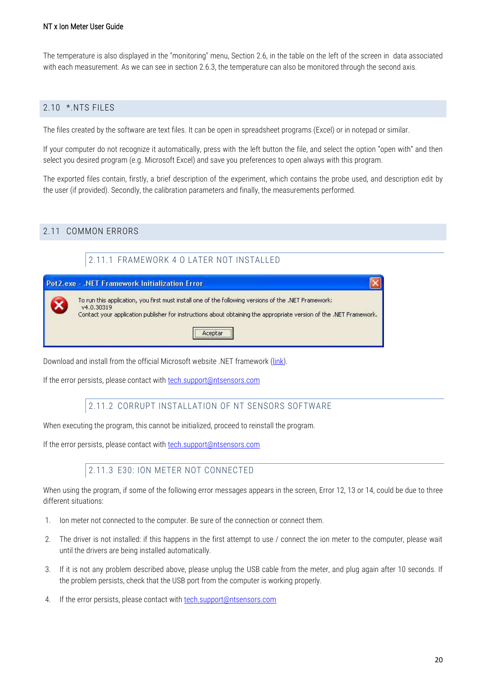The temperature is also displayed in the "monitoring" menu, Section 2.6, in the table on the left of the screen in data associated with each measurement. As we can see in section 2.6.3, the temperature can also be monitored through the second axis.

#### <span id="page-19-0"></span>2.10 \*.NTS FILES

The files created by the software are text files. It can be open in spreadsheet programs (Excel) or in notepad or similar.

If your computer do not recognize it automatically, press with the left button the file, and select the option "open with" and then select you desired program (e.g. Microsoft Excel) and save you preferences to open always with this program.

The exported files contain, firstly, a brief description of the experiment, which contains the probe used, and description edit by the user (if provided). Secondly, the calibration parameters and finally, the measurements performed.

#### <span id="page-19-2"></span><span id="page-19-1"></span>2.11 COMMON ERRORS

### 2.11.1 FRAMEWORK 4 O LATER NOT INSTALLED



Download and install from the official Microsoft website .NET framework [\(link\)](http://www.microsoft.com/downloads/es-es/details.aspx?FamilyID=9cfb2d51-5ff4-4491-b0e5-b386f32c0992).

<span id="page-19-3"></span>If the error persists, please contact with [tech.support@ntsensors.com](mailto:tech.support@ntsensors.com)

#### 2.11.2 CORRUPT INSTALLATION OF NT SENSORS SOFTWARE

When executing the program, this cannot be initialized, proceed to reinstall the program.

<span id="page-19-4"></span>If the error persists, please contact with [tech.support@ntsensors.com](mailto:tech.support@ntsensors.com)

#### 2.11.3 E30: ION METER NOT CONNECTED

When using the program, if some of the following error messages appears in the screen, Error 12, 13 or 14, could be due to three different situations:

- 1. Ion meter not connected to the computer. Be sure of the connection or connect them.
- 2. The driver is not installed: if this happens in the first attempt to use / connect the ion meter to the computer, please wait until the drivers are being installed automatically.
- 3. If it is not any problem described above, please unplug the USB cable from the meter, and plug again after 10 seconds. If the problem persists, check that the USB port from the computer is working properly.
- 4. If the error persists, please contact with **tech.support@ntsensors.com**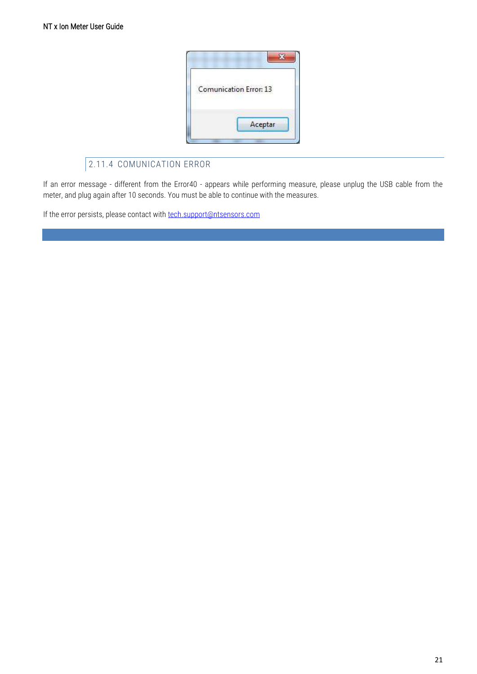

## 2.11.4 COMUNICATION ERROR

<span id="page-20-0"></span>If an error message - different from the Error40 - appears while performing measure, please unplug the USB cable from the meter, and plug again after 10 seconds. You must be able to continue with the measures.

If the error persists, please contact with [tech.support@ntsensors.com](mailto:tech.support@ntsensors.com)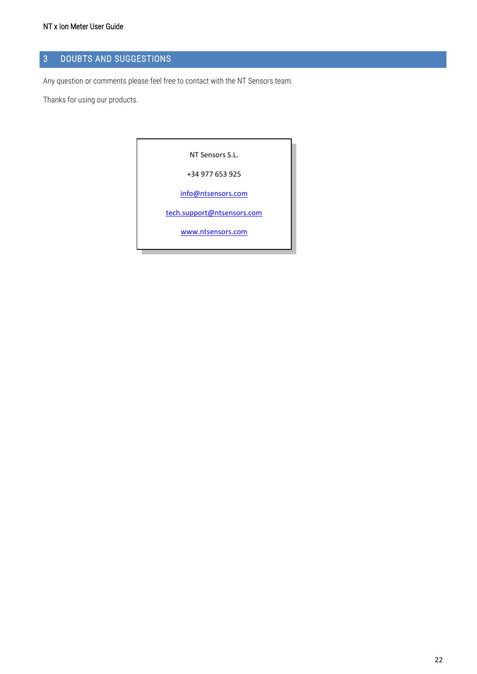## <span id="page-21-0"></span>3 DOUBTS AND SUGGESTIONS

Any question or comments please feel free to contact with the NT Sensors team.

Thanks for using our products.

NT Sensors S.L.

+34 977 653 925

[info@ntsensors.com](mailto:info@ntsensors.com)

[tech.support@ntsensors.com](mailto:tech.support@ntsensors.com)

[www.ntsensors.com](http://www.ntsensors.com/)